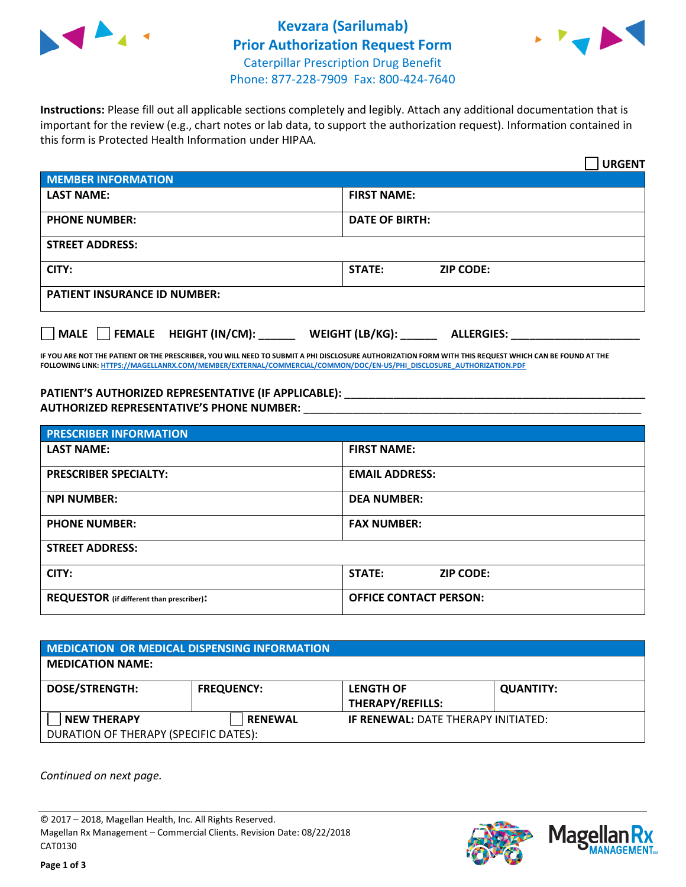



**Instructions:** Please fill out all applicable sections completely and legibly. Attach any additional documentation that is important for the review (e.g., chart notes or lab data, to support the authorization request). Information contained in this form is Protected Health Information under HIPAA.

|                                       | <b>URGENT</b>                        |  |  |
|---------------------------------------|--------------------------------------|--|--|
| <b>MEMBER INFORMATION</b>             |                                      |  |  |
| <b>LAST NAME:</b>                     | <b>FIRST NAME:</b>                   |  |  |
| <b>PHONE NUMBER:</b>                  | <b>DATE OF BIRTH:</b>                |  |  |
| <b>STREET ADDRESS:</b>                |                                      |  |  |
| CITY:                                 | <b>ZIP CODE:</b><br>STATE:           |  |  |
| <b>PATIENT INSURANCE ID NUMBER:</b>   |                                      |  |  |
| FEMALE HEIGHT (IN/CM):<br><b>MALE</b> | WEIGHT (LB/KG):<br><b>ALLERGIES:</b> |  |  |

**IF YOU ARE NOT THE PATIENT OR THE PRESCRIBER, YOU WILL NEED TO SUBMIT A PHI DISCLOSURE AUTHORIZATION FORM WITH THIS REQUEST WHICH CAN BE FOUND AT THE FOLLOWING LINK[: HTTPS://MAGELLANRX.COM/MEMBER/EXTERNAL/COMMERCIAL/COMMON/DOC/EN-US/PHI\\_DISCLOSURE\\_AUTHORIZATION.PDF](https://magellanrx.com/member/external/commercial/common/doc/en-us/PHI_Disclosure_Authorization.pdf)**

**PATIENT'S AUTHORIZED REPRESENTATIVE (IF APPLICABLE): \_\_\_\_\_\_\_\_\_\_\_\_\_\_\_\_\_\_\_\_\_\_\_\_\_\_\_\_\_\_\_\_\_\_\_\_\_\_\_\_\_\_\_\_\_\_\_\_\_ AUTHORIZED REPRESENTATIVE'S PHONE NUMBER:** \_\_\_\_\_\_\_\_\_\_\_\_\_\_\_\_\_\_\_\_\_\_\_\_\_\_\_\_\_\_\_\_\_\_\_\_\_\_\_\_\_\_\_\_\_\_\_\_\_\_\_\_\_\_\_

| <b>PRESCRIBER INFORMATION</b>             |                                   |  |  |  |
|-------------------------------------------|-----------------------------------|--|--|--|
| <b>LAST NAME:</b>                         | <b>FIRST NAME:</b>                |  |  |  |
| <b>PRESCRIBER SPECIALTY:</b>              | <b>EMAIL ADDRESS:</b>             |  |  |  |
| <b>NPI NUMBER:</b>                        | <b>DEA NUMBER:</b>                |  |  |  |
| <b>PHONE NUMBER:</b>                      | <b>FAX NUMBER:</b>                |  |  |  |
| <b>STREET ADDRESS:</b>                    |                                   |  |  |  |
| CITY:                                     | <b>STATE:</b><br><b>ZIP CODE:</b> |  |  |  |
| REQUESTOR (if different than prescriber): | <b>OFFICE CONTACT PERSON:</b>     |  |  |  |

| <b>MEDICATION OR MEDICAL DISPENSING INFORMATION</b> |                   |                                             |                  |  |
|-----------------------------------------------------|-------------------|---------------------------------------------|------------------|--|
| <b>MEDICATION NAME:</b>                             |                   |                                             |                  |  |
| <b>DOSE/STRENGTH:</b>                               | <b>FREQUENCY:</b> | <b>LENGTH OF</b><br><b>THERAPY/REFILLS:</b> | <b>QUANTITY:</b> |  |
| <b>NEW THERAPY</b>                                  | <b>RENEWAL</b>    | <b>IF RENEWAL: DATE THERAPY INITIATED:</b>  |                  |  |
| DURATION OF THERAPY (SPECIFIC DATES):               |                   |                                             |                  |  |

*Continued on next page.*

© 2017 – 2018, Magellan Health, Inc. All Rights Reserved. Magellan Rx Management – Commercial Clients. Revision Date: 08/22/2018 CAT0130



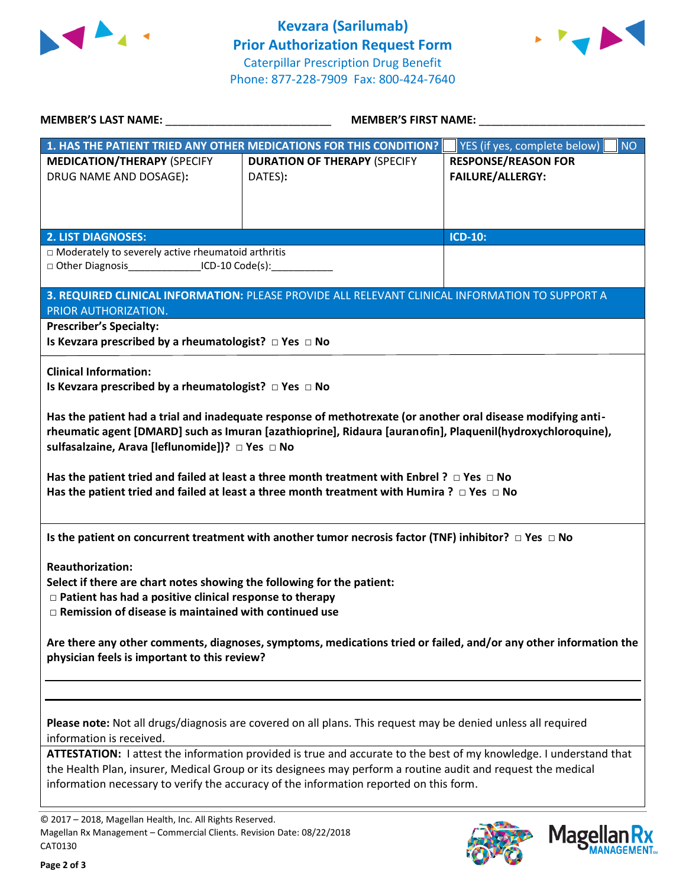



| <b>MEMBER'S LAST NAME:</b> NAME                                                                                                                                                                                                                                                                                                                                                                                                                                                               | <b>MEMBER'S FIRST NAME:</b>                                                                                   |                                                       |  |  |
|-----------------------------------------------------------------------------------------------------------------------------------------------------------------------------------------------------------------------------------------------------------------------------------------------------------------------------------------------------------------------------------------------------------------------------------------------------------------------------------------------|---------------------------------------------------------------------------------------------------------------|-------------------------------------------------------|--|--|
|                                                                                                                                                                                                                                                                                                                                                                                                                                                                                               | 1. HAS THE PATIENT TRIED ANY OTHER MEDICATIONS FOR THIS CONDITION?                                            | YES (if yes, complete below)<br><b>NO</b>             |  |  |
| <b>MEDICATION/THERAPY (SPECIFY</b><br>DRUG NAME AND DOSAGE):                                                                                                                                                                                                                                                                                                                                                                                                                                  | <b>DURATION OF THERAPY (SPECIFY</b><br>DATES):                                                                | <b>RESPONSE/REASON FOR</b><br><b>FAILURE/ALLERGY:</b> |  |  |
| <b>2. LIST DIAGNOSES:</b><br>□ Moderately to severely active rheumatoid arthritis<br>□ Other Diagnosis________________ICD-10 Code(s):___________                                                                                                                                                                                                                                                                                                                                              |                                                                                                               | <b>ICD-10:</b>                                        |  |  |
| PRIOR AUTHORIZATION.<br><b>Prescriber's Specialty:</b><br>Is Kevzara prescribed by a rheumatologist? $\Box$ Yes $\Box$ No                                                                                                                                                                                                                                                                                                                                                                     | 3. REQUIRED CLINICAL INFORMATION: PLEASE PROVIDE ALL RELEVANT CLINICAL INFORMATION TO SUPPORT A               |                                                       |  |  |
| <b>Clinical Information:</b><br>Is Kevzara prescribed by a rheumatologist? $\Box$ Yes $\Box$ No                                                                                                                                                                                                                                                                                                                                                                                               |                                                                                                               |                                                       |  |  |
| Has the patient had a trial and inadequate response of methotrexate (or another oral disease modifying anti-<br>rheumatic agent [DMARD] such as Imuran [azathioprine], Ridaura [auranofin], Plaquenil(hydroxychloroquine),<br>sulfasalzaine, Arava [leflunomide])? □ Yes □ No<br>Has the patient tried and failed at least a three month treatment with Enbrel ? $\Box$ Yes $\Box$ No<br>Has the patient tried and failed at least a three month treatment with Humira ? $\Box$ Yes $\Box$ No |                                                                                                               |                                                       |  |  |
| Is the patient on concurrent treatment with another tumor necrosis factor (TNF) inhibitor? $\Box$ Yes $\Box$ No<br><b>Reauthorization:</b><br>Select if there are chart notes showing the following for the patient:<br>□ Patient has had a positive clinical response to therapy<br>$\Box$ Remission of disease is maintained with continued use                                                                                                                                             |                                                                                                               |                                                       |  |  |
| Are there any other comments, diagnoses, symptoms, medications tried or failed, and/or any other information the<br>physician feels is important to this review?                                                                                                                                                                                                                                                                                                                              |                                                                                                               |                                                       |  |  |
| information is received.                                                                                                                                                                                                                                                                                                                                                                                                                                                                      | Please note: Not all drugs/diagnosis are covered on all plans. This request may be denied unless all required |                                                       |  |  |
| ATTESTATION: I attest the information provided is true and accurate to the best of my knowledge. I understand that<br>the Health Plan, insurer, Medical Group or its designees may perform a routine audit and request the medical<br>information necessary to verify the accuracy of the information reported on this form.                                                                                                                                                                  |                                                                                                               |                                                       |  |  |

© 2017 – 2018, Magellan Health, Inc. All Rights Reserved. Magellan Rx Management – Commercial Clients. Revision Date: 08/22/2018 CAT0130



**Mage** 

**Ilan Rx<br>ANAGEMENT.**